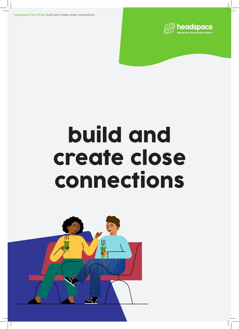headspace Fact Sheet build and create close connections



# build and create close connections